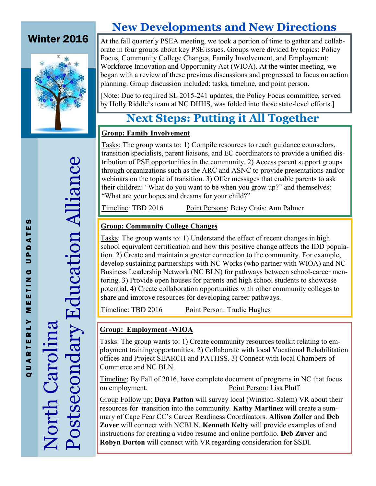### Winter 2016



### **New Developments and New Directions**

At the fall quarterly PSEA meeting, we took a portion of time to gather and collaborate in four groups about key PSE issues. Groups were divided by topics: Policy Focus, Community College Changes, Family Involvement, and Employment: Workforce Innovation and Opportunity Act (WIOA). At the winter meeting, we began with a review of these previous discussions and progressed to focus on action planning. Group discussion included: tasks, timeline, and point person.

[Note: Due to required SL 2015-241 updates, the Policy Focus committee, served by Holly Riddle's team at NC DHHS, was folded into those state-level efforts.]

### **Next Steps: Putting it All Together**

#### **Group: Family Involvement**

Tasks: The group wants to: 1) Compile resources to reach guidance counselors, transition specialists, parent liaisons, and EC coordinators to provide a unified distribution of PSE opportunities in the community. 2) Access parent support groups through organizations such as the ARC and ASNC to provide presentations and/or webinars on the topic of transition. 3) Offer messages that enable parents to ask their children: "What do you want to be when you grow up?" and themselves: "What are your hopes and dreams for your child?"

Timeline: TBD 2016 Point Persons: Betsy Crais; Ann Palmer

#### **Group: Community College Changes**

Tasks: The group wants to: 1) Understand the effect of recent changes in high school equivalent certification and how this positive change affects the IDD population. 2) Create and maintain a greater connection to the community. For example, develop sustaining partnerships with NC Works (who partner with WIOA) and NC Business Leadership Network (NC BLN) for pathways between school-career mentoring. 3) Provide open houses for parents and high school students to showcase potential. 4) Create collaboration opportunities with other community colleges to share and improve resources for developing career pathways.

Timeline: TBD 2016 Point Person: Trudie Hughes

#### **Group: Employment -WIOA**

Tasks: The group wants to: 1) Create community resources toolkit relating to employment training/opportunities. 2) Collaborate with local Vocational Rehabilitation offices and Project SEARCH and PATHSS. 3) Connect with local Chambers of Commerce and NC BLN.

Timeline: By Fall of 2016, have complete document of programs in NC that focus on employment. Point Person: Lisa Pluff

Group Follow up: **Daya Patton** will survey local (Winston-Salem) VR about their resources for transition into the community. **Kathy Martinez** will create a summary of Cape Fear CC's Career Readiness Coordinators. **Allison Zoller** and **Deb Zuver** will connect with NCBLN. **Kenneth Kelty** will provide examples of and instructions for creating a video resume and online portfolio. **Deb Zuver** and **Robyn Dorton** will connect with VR regarding consideration for SSDI.

Postsecondary Education Alliance Postsecondary Education Alliance North Carolina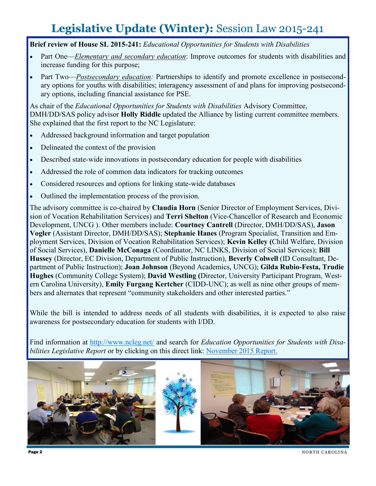## **Legislative Update (Winter):** Session Law 2015-241

**Brief review of House SL 2015-241:** *Educational Opportunities for Students with Disabilities*

- Part One—*Elementary and secondary education*: Improve outcomes for students with disabilities and increase funding for this purpose;
- Part Two—*Postsecondary education:* Partnerships to identify and promote excellence in postsecondary options for youths with disabilities; interagency assessment of and plans for improving postsecondary options, including financial assistance for PSE.

As chair of the *Educational Opportunities for Students with Disabilities* Advisory Committee, DMH/DD/SAS policy advisor **Holly Riddle** updated the Alliance by listing current committee members. She explained that the first report to the NC Legislature:

- Addressed background information and target population
- Delineated the context of the provision
- Described state-wide innovations in postsecondary education for people with disabilities
- Addressed the role of common data indicators for tracking outcomes
- Considered resources and options for linking state-wide databases
- Outlined the implementation process of the provision.

The advisory committee is co-chaired by **Claudia Horn** (Senior Director of Employment Services, Division of Vocation Rehabilitation Services) and **Terri Shelton** (Vice-Chancellor of Research and Economic Development, UNCG ). Other members include: **Courtney Cantrell** (Director, DMH/DD/SAS), **Jason Vogler** (Assistant Director, DMH/DD/SAS); **Stephanie Hanes** (Program Specialist, Transition and Employment Services, Division of Vocation Rehabilitation Services); **Kevin Kelley (**Child Welfare, Division of Social Services), **Danielle McConaga** (Coordinator, NC LINKS, Division of Social Services); **Bill Hussey** (Director, EC Division, Department of Public Instruction), **Beverly Colwell** (ID Consultant, Department of Public Instruction); **Joan Johnson** (Beyond Academics, UNCG); **Gilda Rubio-Festa, Trudie Hughes** (Community College System); **David Westling (**Director, University Participant Program, Western Carolina University), **Emily Furgang Kertcher** (CIDD-UNC); as well as nine other groups of members and alternates that represent "community stakeholders and other interested parties."

While the bill is intended to address needs of all students with disabilities, it is expected to also raise awareness for postsecondary education for students with I/DD.

Find information at <http://www.ncleg.net/> and search for *Education Opportunities for Students with Disabilities Legislative Report* or by clicking on this direct link: [November 2015 Report.](http://www.ncleg.net/documentsites/committees/JLEOC/Reports%20Received/2015%20Reports%20Received/Education%20Opportunities%20for%20Students%20with%20Disabilities/Education%20Opportunities%20for%20Students%20with%20Disabilities%20Report.pdf)



Page 2 NORTH CAROLINA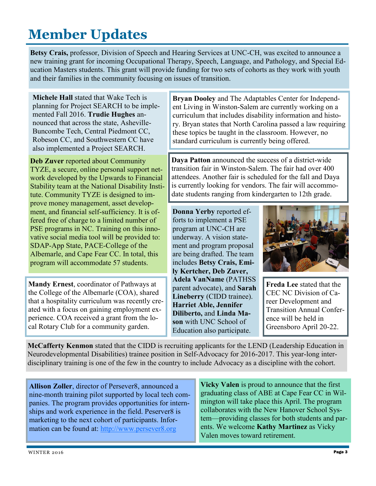# **Member Updates**

**Betsy Crais,** professor, Division of Speech and Hearing Services at UNC-CH, was excited to announce a new training grant for incoming Occupational Therapy, Speech, Language, and Pathology, and Special Education Masters students. This grant will provide funding for two sets of cohorts as they work with youth and their families in the community focusing on issues of transition.

**Michele Hall** stated that Wake Tech is planning for Project SEARCH to be implemented Fall 2016. **Trudie Hughes** announced that across the state, Asheville-Buncombe Tech, Central Piedmont CC, Robeson CC, and Southwestern CC have also implemented a Project SEARCH.

**Deb Zuver** reported about Community TYZE, a secure, online personal support network developed by the Upwards to Financial Stability team at the National Disability Institute. Community TYZE is designed to improve money management, asset development, and financial self-sufficiency. It is offered free of charge to a limited number of PSE programs in NC. Training on this innovative social media tool will be provided to: SDAP-App State, PACE-College of the Albemarle, and Cape Fear CC. In total, this program will accommodate 57 students.

**Mandy Ernest**, coordinator of Pathways at the College of the Albemarle (COA), shared that a hospitality curriculum was recently created with a focus on gaining employment experience. COA received a grant from the local Rotary Club for a community garden.

**Bryan Dooley** and The Adaptables Center for Independent Living in Winston-Salem are currently working on a curriculum that includes disability information and history. Bryan states that North Carolina passed a law requiring these topics be taught in the classroom. However, no standard curriculum is currently being offered.

**Daya Patton** announced the success of a district-wide transition fair in Winston-Salem. The fair had over 400 attendees. Another fair is scheduled for the fall and Daya is currently looking for vendors. The fair will accommodate students ranging from kindergarten to 12th grade.

**Donna Yerby** reported efforts to implement a PSE program at UNC-CH are underway. A vision statement and program proposal are being drafted. The team includes **Betsy Crais, Emily Kertcher, Deb Zuver, Adela VanName** (PATHSS parent advocate), and **Sarah Lineberry** (CIDD trainee). **Harriet Able, Jennifer Diliberto,** and **Linda Mason** with UNC School of Education also participate.



**Freda Lee** stated that the CEC NC Division of Career Development and Transition Annual Conference will be held in Greensboro April 20-22.

**McCafferty Kenmon** stated that the CIDD is recruiting applicants for the LEND (Leadership Education in Neurodevelopmental Disabilities) trainee position in Self-Advocacy for 2016-2017. This year-long interdisciplinary training is one of the few in the country to include Advocacy as a discipline with the cohort.

**Allison Zoller**, director of Persever8, announced a nine-month training pilot supported by local tech companies. The program provides opportunities for internships and work experience in the field. Peserver8 is marketing to the next cohort of participants. Information can be found at: <http://www.persever8.org>

**Vicky Valen** is proud to announce that the first graduating class of ABE at Cape Fear CC in Wilmington will take place this April. The program collaborates with the New Hanover School System—providing classes for both students and parents. We welcome **Kathy Martinez** as Vicky Valen moves toward retirement.